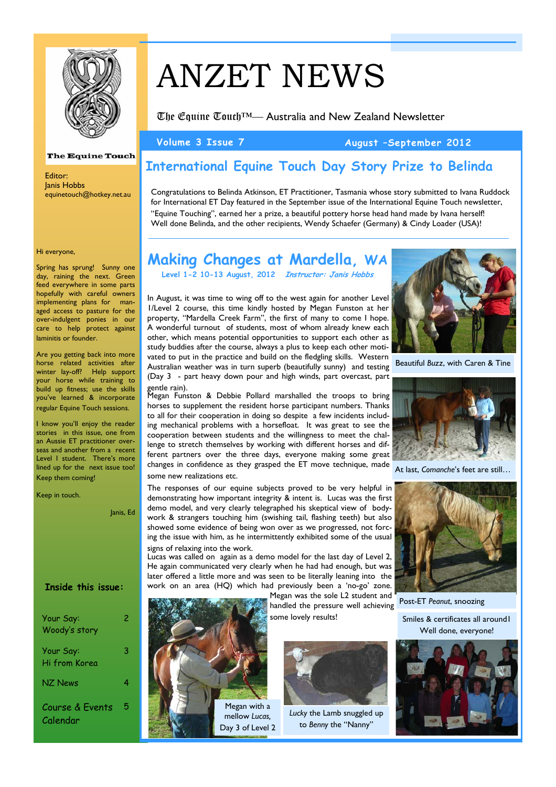

### **The Equine Touch**

Editor: Janis Hobbs equinetouch@hotkey.net.au

#### Hi everyone,

Spring has sprung! Sunny one day, raining the next. Green feed everywhere in some parts hopefully with careful owners implementing plans for managed access to pasture for the over-indulgent ponies in our care to help protect against laminitis or founder.

Are you getting back into more horse related activities after winter lay-off? Help support your horse while training to build up fitness; use the skills you've learned & incorporate regular Equine Touch sessions.

I know you'll enjoy the reader stories in this issue, one from an Aussie ET practitioner overseas and another from a recent Level 1 student. There's more lined up for the next issue too! Keep them coming!

Keep in touch.

Janis, Ed

### **Inside this issue:**

| Your Say:<br>Woody's story  | 2 |
|-----------------------------|---|
| Your Say:<br>Hi from Korea  | ۹ |
| NZ News                     | 4 |
| Course & Events<br>Calendar | 5 |

# ANZET NEWS

The Equine Touch™— Australia and New Zealand Newsletter

### **Volume 3 Issue 7 August –September 2012**

# **International Equine Touch Day Story Prize to Belinda**

Congratulations to Belinda Atkinson, ET Practitioner, Tasmania whose story submitted to Ivana Ruddock for International ET Day featured in the September issue of the International Equine Touch newsletter, "Equine Touching", earned her a prize, a beautiful pottery horse head hand made by Ivana herself! Well done Belinda, and the other recipients, Wendy Schaefer (Germany) & Cindy Loader (USA)!

# **Making Changes at Mardella, WA Level 1-2 10-13 August, 2012 Instructor: Janis Hobbs**

In August, it was time to wing off to the west again for another Level 1/Level 2 course, this time kindly hosted by Megan Funston at her property, "Mardella Creek Farm", the first of many to come I hope. A wonderful turnout of students, most of whom already knew each other, which means potential opportunities to support each other as study buddies after the course, always a plus to keep each other motivated to put in the practice and build on the fledgling skills. Western Australian weather was in turn superb (beautifully sunny) and testing (Day 3 - part heavy down pour and high winds, part overcast, part gentle rain).

The responses of our equine subjects proved to be very helpful in demonstrating how important integrity & intent is. Lucas was the first demo model, and very clearly telegraphed his skeptical view of bodywork & strangers touching him (swishing tail, flashing teeth) but also showed some evidence of being won over as we progressed, not forcing the issue with him, as he intermittently exhibited some of the usual

Lucas was called on again as a demo model for the last day of Level 2, He again communicated very clearly when he had had enough, but was later offered a little more and was seen to be literally leaning into the work on an area (HQ) which had previously been a 'no-go' zone.



Beautiful *Buzz*, with Caren & Tine



At last, *Comanche*'s feet are still…



Post-ET *Peanut*, snoozing

Smiles & certificates all around1 Well done, everyone!





some new realizations etc.

signs of relaxing into the work.

Megan was the sole L2 student and handled the pressure well achieving some lovely results!



*Lucky* the Lamb snuggled up to *Benny* the "Nanny"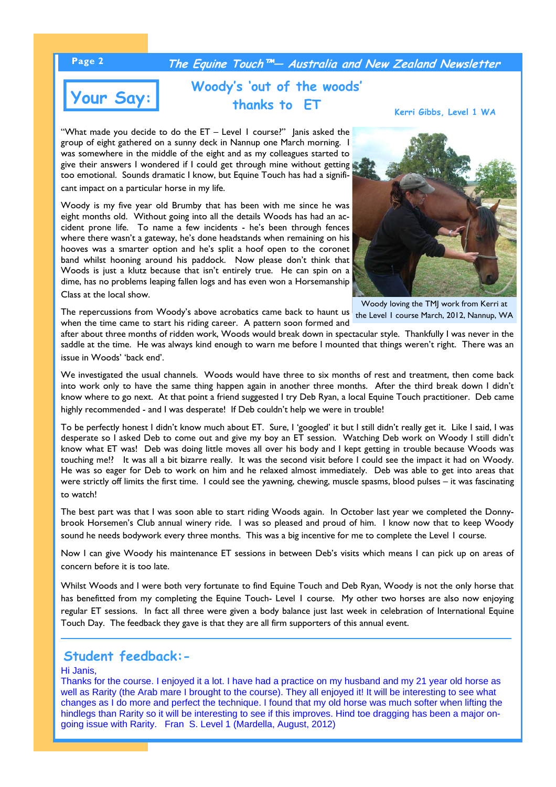### **Page 2 The Equine Touch™— Australia and New Zealand Newsletter**

# **Your Say:**

# **Woody's 'out of the woods' thanks to ET**

**Kerri Gibbs, Level 1 WA**

"What made you decide to do the ET – Level 1 course?" Janis asked the group of eight gathered on a sunny deck in Nannup one March morning. I was somewhere in the middle of the eight and as my colleagues started to give their answers I wondered if I could get through mine without getting too emotional. Sounds dramatic I know, but Equine Touch has had a signifi-

cant impact on a particular horse in my life.

Woody is my five year old Brumby that has been with me since he was eight months old. Without going into all the details Woods has had an accident prone life. To name a few incidents - he's been through fences where there wasn't a gateway, he's done headstands when remaining on his hooves was a smarter option and he's split a hoof open to the coronet band whilst hooning around his paddock. Now please don't think that Woods is just a klutz because that isn't entirely true. He can spin on a dime, has no problems leaping fallen logs and has even won a Horsemanship Class at the local show.



Woody loving the TMJ work from Kerri at

The repercussions from Woody's above acrobatics came back to haunt us the Level I course March, 2012, Nannup, WA when the time came to start his riding career. A pattern soon formed and

after about three months of ridden work, Woods would break down in spectacular style. Thankfully I was never in the saddle at the time. He was always kind enough to warn me before I mounted that things weren't right. There was an issue in Woods' 'back end'.

We investigated the usual channels. Woods would have three to six months of rest and treatment, then come back into work only to have the same thing happen again in another three months. After the third break down I didn't know where to go next. At that point a friend suggested I try Deb Ryan, a local Equine Touch practitioner. Deb came highly recommended - and I was desperate! If Deb couldn't help we were in trouble!

To be perfectly honest I didn't know much about ET. Sure, I 'googled' it but I still didn't really get it. Like I said, I was desperate so I asked Deb to come out and give my boy an ET session. Watching Deb work on Woody I still didn't know what ET was! Deb was doing little moves all over his body and I kept getting in trouble because Woods was touching me!? It was all a bit bizarre really. It was the second visit before I could see the impact it had on Woody. He was so eager for Deb to work on him and he relaxed almost immediately. Deb was able to get into areas that were strictly off limits the first time. I could see the yawning, chewing, muscle spasms, blood pulses – it was fascinating to watch!

The best part was that I was soon able to start riding Woods again. In October last year we completed the Donnybrook Horsemen's Club annual winery ride. I was so pleased and proud of him. I know now that to keep Woody sound he needs bodywork every three months. This was a big incentive for me to complete the Level 1 course.

Now I can give Woody his maintenance ET sessions in between Deb's visits which means I can pick up on areas of concern before it is too late.

Whilst Woods and I were both very fortunate to find Equine Touch and Deb Ryan, Woody is not the only horse that has benefitted from my completing the Equine Touch- Level 1 course. My other two horses are also now enjoying regular ET sessions. In fact all three were given a body balance just last week in celebration of International Equine Touch Day. The feedback they gave is that they are all firm supporters of this annual event.

## **Student feedback:-**

### Hi Janis,

Thanks for the course. I enjoyed it a lot. I have had a practice on my husband and my 21 year old horse as well as Rarity (the Arab mare I brought to the course). They all enjoyed it! It will be interesting to see what changes as I do more and perfect the technique. I found that my old horse was much softer when lifting the hindlegs than Rarity so it will be interesting to see if this improves. Hind toe dragging has been a major ongoing issue with Rarity. Fran S. Level 1 (Mardella, August, 2012)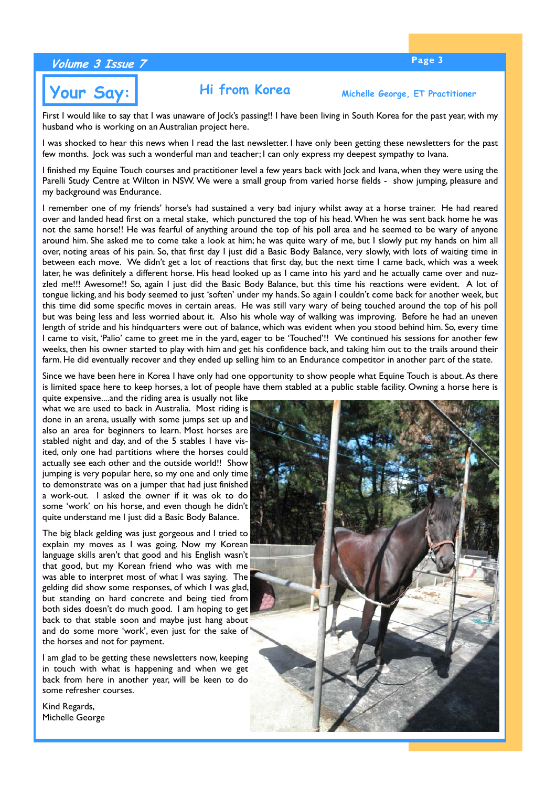## **Page 3 Volume 3 Issue 7**

# **Your Say: Hi from Korea Michelle George, ET Practitioner**

First I would like to say that I was unaware of Jock's passing!! I have been living in South Korea for the past year, with my husband who is working on an Australian project here.

I was shocked to hear this news when I read the last newsletter. I have only been getting these newsletters for the past few months. Jock was such a wonderful man and teacher; I can only express my deepest sympathy to Ivana.

I finished my Equine Touch courses and practitioner level a few years back with Jock and Ivana, when they were using the Parelli Study Centre at Wilton in NSW. We were a small group from varied horse fields - show jumping, pleasure and my background was Endurance.

I remember one of my friends' horse's had sustained a very bad injury whilst away at a horse trainer. He had reared over and landed head first on a metal stake, which punctured the top of his head. When he was sent back home he was not the same horse!! He was fearful of anything around the top of his poll area and he seemed to be wary of anyone around him. She asked me to come take a look at him; he was quite wary of me, but I slowly put my hands on him all over, noting areas of his pain. So, that first day I just did a Basic Body Balance, very slowly, with lots of waiting time in between each move. We didn't get a lot of reactions that first day, but the next time I came back, which was a week later, he was definitely a different horse. His head looked up as I came into his yard and he actually came over and nuzzled me!!! Awesome!! So, again I just did the Basic Body Balance, but this time his reactions were evident. A lot of tongue licking, and his body seemed to just 'soften' under my hands. So again I couldn't come back for another week, but this time did some specific moves in certain areas. He was still vary wary of being touched around the top of his poll but was being less and less worried about it. Also his whole way of walking was improving. Before he had an uneven length of stride and his hindquarters were out of balance, which was evident when you stood behind him. So, every time I came to visit, 'Palio' came to greet me in the yard, eager to be 'Touched'!! We continued his sessions for another few weeks, then his owner started to play with him and get his confidence back, and taking him out to the trails around their farm. He did eventually recover and they ended up selling him to an Endurance competitor in another part of the state.

Since we have been here in Korea I have only had one opportunity to show people what Equine Touch is about. As there is limited space here to keep horses, a lot of people have them stabled at a public stable facility. Owning a horse here is

quite expensive....and the riding area is usually not like what we are used to back in Australia. Most riding is done in an arena, usually with some jumps set up and also an area for beginners to learn. Most horses are stabled night and day, and of the 5 stables I have visited, only one had partitions where the horses could actually see each other and the outside world!! Show jumping is very popular here, so my one and only time to demonstrate was on a jumper that had just finished a work-out. I asked the owner if it was ok to do some 'work' on his horse, and even though he didn't quite understand me I just did a Basic Body Balance.

The big black gelding was just gorgeous and I tried to explain my moves as I was going. Now my Korean language skills aren't that good and his English wasn't that good, but my Korean friend who was with me was able to interpret most of what I was saying. The gelding did show some responses, of which I was glad, but standing on hard concrete and being tied from both sides doesn't do much good. I am hoping to get back to that stable soon and maybe just hang about and do some more 'work', even just for the sake of the horses and not for payment.

I am glad to be getting these newsletters now, keeping in touch with what is happening and when we get back from here in another year, will be keen to do some refresher courses.

Kind Regards, Michelle George